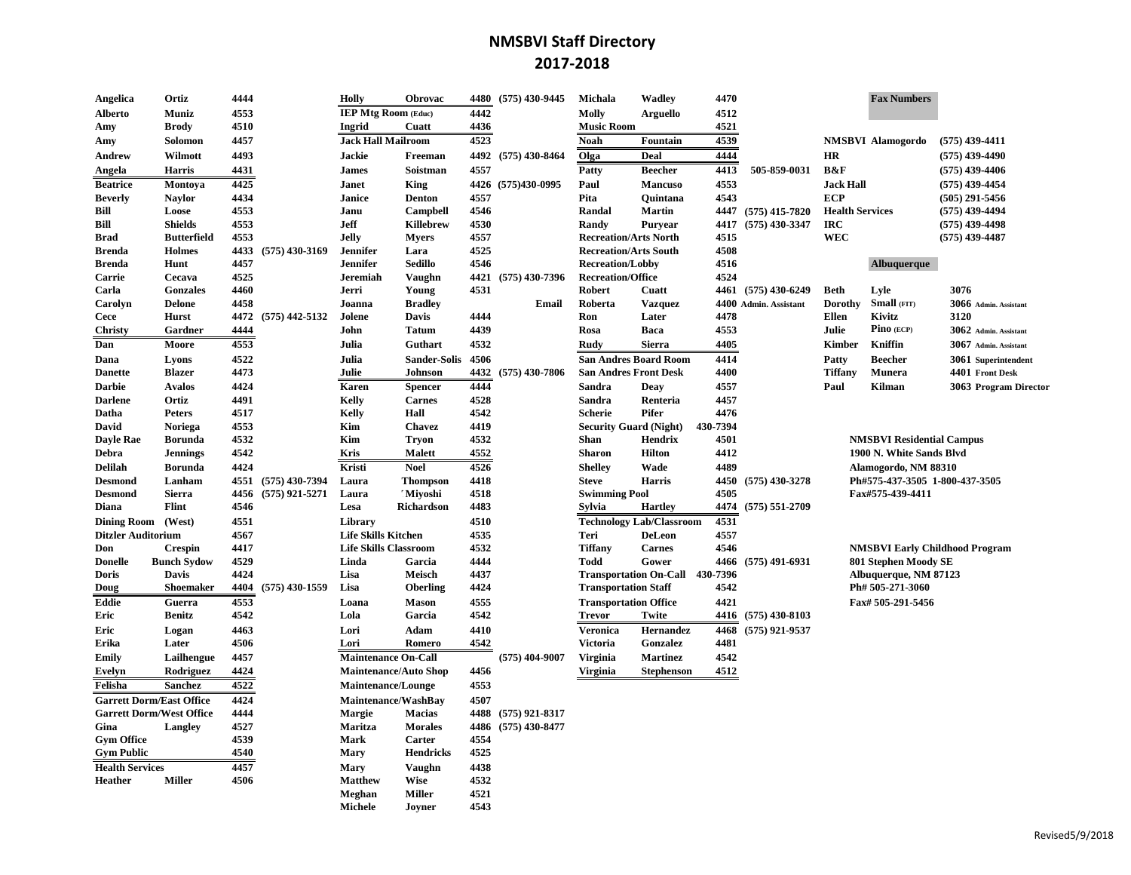## **NMSBVI Staff Directory 2017-2018**

| Angelica                  | Ortiz                           | 4444 |                  | Holly                        | <b>Obrovac</b>               | 4480 | $(575)$ 430-9445    | Michala                       | Wadley                          | 4470     |                       |                        | <b>Fax Numbers</b>               |                                       |
|---------------------------|---------------------------------|------|------------------|------------------------------|------------------------------|------|---------------------|-------------------------------|---------------------------------|----------|-----------------------|------------------------|----------------------------------|---------------------------------------|
| <b>Alberto</b>            | Muniz                           | 4553 |                  | <b>IEP Mtg Room (Educ)</b>   |                              | 4442 |                     | Molly                         | <b>Arguello</b>                 | 4512     |                       |                        |                                  |                                       |
| Amy                       | <b>Brody</b>                    | 4510 |                  | Ingrid                       | Cuatt                        | 4436 |                     | <b>Music Room</b>             |                                 | 4521     |                       |                        |                                  |                                       |
| Amy                       | Solomon                         | 4457 |                  | <b>Jack Hall Mailroom</b>    |                              | 4523 |                     | <b>Noah</b>                   | Fountain                        | 4539     |                       |                        | <b>NMSBVI Alamogordo</b>         | $(575)$ 439-4411                      |
| Andrew                    | Wilmott                         | 4493 |                  | <b>Jackie</b>                | Freeman                      |      | 4492 (575) 430-8464 | Olga                          | Deal                            | 4444     |                       | <b>HR</b>              |                                  | $(575)$ 439-4490                      |
| Angela                    | <b>Harris</b>                   | 4431 |                  | <b>James</b>                 | Soistman                     | 4557 |                     | Patty                         | <b>Beecher</b>                  | 4413     | 505-859-0031          | <b>B&amp;F</b>         |                                  | $(575)$ 439-4406                      |
| <b>Beatrice</b>           | Montova                         | 4425 |                  | Janet                        | <b>King</b>                  |      | 4426 (575)430-0995  | Paul                          | <b>Mancuso</b>                  | 4553     |                       | <b>Jack Hall</b>       |                                  | $(575)$ 439-4454                      |
| <b>Beverly</b>            | <b>Navlor</b>                   | 4434 |                  | Janice                       | <b>Denton</b>                | 4557 |                     | Pita                          | Ouintana                        | 4543     |                       | <b>ECP</b>             |                                  | $(505)$ 291-5456                      |
| Bill                      | Loose                           | 4553 |                  | Janu                         | Campbell                     | 4546 |                     | Randal                        | Martin                          |          | 4447 (575) 415-7820   | <b>Health Services</b> |                                  | $(575)$ 439-4494                      |
| Bill                      | <b>Shields</b>                  | 4553 |                  | <b>Jeff</b>                  | <b>Killebrew</b>             | 4530 |                     | Randy                         | Purvear                         | 4417     | $(575)$ 430-3347      | <b>IRC</b>             |                                  | $(575)$ 439-4498                      |
| Brad                      | <b>Butterfield</b>              | 4553 |                  | Jelly                        | <b>Mvers</b>                 | 4557 |                     | <b>Recreation/Arts North</b>  |                                 | 4515     |                       | <b>WEC</b>             |                                  | $(575)$ 439-4487                      |
| <b>Brenda</b>             | Holmes                          | 4433 | $(575)$ 430-3169 | Jennifer                     | Lara                         | 4525 |                     | <b>Recreation/Arts South</b>  |                                 | 4508     |                       |                        |                                  |                                       |
| <b>Brenda</b>             | Hunt                            | 4457 |                  | Jennifer                     | <b>Sedillo</b>               | 4546 |                     | <b>Recreation/Lobby</b>       |                                 | 4516     |                       |                        | Albuquerque                      |                                       |
| Carrie                    | Cecava                          | 4525 |                  | <b>Jeremiah</b>              | <b>Vaughn</b>                |      | 4421 (575) 430-7396 | <b>Recreation/Office</b>      |                                 | 4524     |                       |                        |                                  |                                       |
| Carla                     | <b>Gonzales</b>                 | 4460 |                  | Jerri                        | Young                        | 4531 |                     | Robert                        | Cuatt                           |          | 4461 (575) 430-6249   | <b>Beth</b>            | Lyle                             | 3076                                  |
| Carolyn                   | <b>Delone</b>                   | 4458 |                  | Joanna                       | <b>Bradley</b>               |      | Email               | Roberta                       | <b>Vazquez</b>                  |          | 4400 Admin. Assistant | Dorothy                | Small (FIT)                      | 3066 Admin. Assistant                 |
| Cece                      | <b>Hurst</b>                    | 4472 | $(575)$ 442-5132 | Jolene                       | Davis                        | 4444 |                     | Ron                           | Later                           | 4478     |                       | <b>Ellen</b>           | Kivitz                           | 3120                                  |
| Christy                   | Gardner                         | 4444 |                  | John                         | <b>Tatum</b>                 | 4439 |                     | Rosa                          | Baca                            | 4553     |                       | Julie                  | Pino (ECP)                       | 3062 Admin. Assistant                 |
| Dan                       | Moore                           | 4553 |                  | Julia                        | Guthart                      | 4532 |                     | Rudy                          | <b>Sierra</b>                   | 4405     |                       | Kimber                 | Kniffin                          | 3067 Admin. Assistant                 |
| Dana                      | Lyons                           | 4522 |                  | Julia                        | <b>Sander-Solis</b>          | 4506 |                     |                               | <b>San Andres Board Room</b>    | 4414     |                       | Patty                  | <b>Beecher</b>                   | 3061 Superintendent                   |
| <b>Danette</b>            | <b>Blazer</b>                   | 4473 |                  | Julie                        | Johnson                      | 4432 | $(575)$ 430-7806    | <b>San Andres Front Desk</b>  |                                 | 4400     |                       | <b>Tiffany</b>         | Munera                           | 4401 Front Desk                       |
| <b>Darbie</b>             | <b>Avalos</b>                   | 4424 |                  | Karen                        | <b>Spencer</b>               | 4444 |                     | Sandra                        | Deav                            | 4557     |                       | Paul                   | <b>Kilman</b>                    | 3063 Program Director                 |
| <b>Darlene</b>            | Ortiz                           | 4491 |                  | Kelly                        | <b>Carnes</b>                | 4528 |                     | Sandra                        | Renteria                        | 4457     |                       |                        |                                  |                                       |
| Datha                     | <b>Peters</b>                   | 4517 |                  | Kelly                        | Hall                         | 4542 |                     | <b>Scherie</b>                | Pifer                           | 4476     |                       |                        |                                  |                                       |
| David                     | Noriega                         | 4553 |                  | Kim                          | <b>Chavez</b>                | 4419 |                     | <b>Security Guard (Night)</b> |                                 | 430-7394 |                       |                        |                                  |                                       |
| <b>Dayle Rae</b>          | <b>Borunda</b>                  | 4532 |                  | Kim                          | <b>Tryon</b>                 | 4532 |                     | <b>Shan</b>                   | <b>Hendrix</b>                  | 4501     |                       |                        | <b>NMSBVI Residential Campus</b> |                                       |
| Debra                     | <b>Jennings</b>                 | 4542 |                  | Kris                         | <b>Malett</b>                | 4552 |                     | <b>Sharon</b>                 | <b>Hilton</b>                   | 4412     |                       |                        | 1900 N. White Sands Blvd         |                                       |
| <b>Delilah</b>            | <b>Borunda</b>                  | 4424 |                  | Kristi                       | <b>Noel</b>                  | 4526 |                     | <b>Shelley</b>                | Wade                            | 4489     |                       |                        | Alamogordo, NM 88310             |                                       |
| <b>Desmond</b>            | Lanham                          | 4551 | $(575)$ 430-7394 | Laura                        | <b>Thompson</b>              | 4418 |                     | <b>Steve</b>                  | <b>Harris</b>                   |          | 4450 (575) 430-3278   |                        | Ph#575-437-3505 1-800-437-3505   |                                       |
| <b>Desmond</b>            | <b>Sierra</b>                   | 4456 | $(575)$ 921-5271 | Laura                        | ' Miyoshi                    | 4518 |                     | <b>Swimming Pool</b>          |                                 | 4505     |                       |                        | Fax#575-439-4411                 |                                       |
| Diana                     | Flint                           | 4546 |                  | Lesa                         | Richardson                   | 4483 |                     | <b>Sylvia</b>                 | <b>Hartley</b>                  |          | 4474 (575) 551-2709   |                        |                                  |                                       |
| <b>Dining Room</b>        | (West)                          | 4551 |                  | Library                      |                              | 4510 |                     |                               | <b>Technology Lab/Classroom</b> | 4531     |                       |                        |                                  |                                       |
| <b>Ditzler Auditorium</b> |                                 | 4567 |                  | <b>Life Skills Kitchen</b>   |                              | 4535 |                     | Teri                          | <b>DeLeon</b>                   | 4557     |                       |                        |                                  |                                       |
| Don                       | <b>Crespin</b>                  | 4417 |                  | <b>Life Skills Classroom</b> |                              | 4532 |                     | <b>Tiffany</b>                | <b>Carnes</b>                   | 4546     |                       |                        |                                  | <b>NMSBVI Early Childhood Program</b> |
| <b>Donelle</b>            | <b>Bunch Sydow</b>              | 4529 |                  | Linda                        | Garcia                       | 4444 |                     | <b>Todd</b>                   | Gower                           |          | 4466 (575) 491-6931   |                        | 801 Stephen Moody SE             |                                       |
| <b>Doris</b>              | <b>Davis</b>                    | 4424 |                  | Lisa                         | Meisch                       | 4437 |                     |                               | Transportation On-Call 430-7396 |          |                       |                        | Albuquerque, NM 87123            |                                       |
| Doug                      | <b>Shoemaker</b>                | 4404 | $(575)$ 430-1559 | Lisa                         | <b>Oberling</b>              | 4424 |                     | <b>Transportation Staff</b>   |                                 | 4542     |                       |                        | Ph# 505-271-3060                 |                                       |
| <b>Eddie</b>              | Guerra                          | 4553 |                  | Loana                        | <b>Mason</b>                 | 4555 |                     | <b>Transportation Office</b>  |                                 | 4421     |                       |                        | Fax# 505-291-5456                |                                       |
| Eric                      | <b>Benitz</b>                   | 4542 |                  | Lola                         | Garcia                       | 4542 |                     | <b>Trevor</b>                 | Twite                           |          | 4416 (575) 430-8103   |                        |                                  |                                       |
| Eric                      | Logan                           | 4463 |                  | Lori                         | Adam                         | 4410 |                     | Veronica                      | Hernandez                       | 4468     | $(575)$ 921-9537      |                        |                                  |                                       |
| Erika                     | Later                           | 4506 |                  | Lori                         | Romero                       | 4542 |                     | <b>Victoria</b>               | Gonzalez                        | 4481     |                       |                        |                                  |                                       |
| <b>Emily</b>              | Lailhengue                      | 4457 |                  | <b>Maintenance On-Call</b>   |                              |      | $(575)$ 404-9007    | <b>Virginia</b>               | <b>Martinez</b>                 | 4542     |                       |                        |                                  |                                       |
| Evelyn                    | Rodriguez                       | 4424 |                  |                              | <b>Maintenance/Auto Shop</b> | 4456 |                     | <b>Virginia</b>               | <b>Stephenson</b>               | 4512     |                       |                        |                                  |                                       |
| Felisha                   | <b>Sanchez</b>                  | 4522 |                  | <b>Maintenance/Lounge</b>    |                              | 4553 |                     |                               |                                 |          |                       |                        |                                  |                                       |
|                           | <b>Garrett Dorm/East Office</b> | 4424 |                  |                              | Maintenance/WashBay          | 4507 |                     |                               |                                 |          |                       |                        |                                  |                                       |
|                           | <b>Garrett Dorm/West Office</b> | 4444 |                  | Margie                       | Macias                       |      | 4488 (575) 921-8317 |                               |                                 |          |                       |                        |                                  |                                       |
| Gina                      | <b>Langley</b>                  | 4527 |                  | Maritza                      | <b>Morales</b>               |      | 4486 (575) 430-8477 |                               |                                 |          |                       |                        |                                  |                                       |
| <b>Gym Office</b>         |                                 | 4539 |                  | Mark                         | Carter                       | 4554 |                     |                               |                                 |          |                       |                        |                                  |                                       |
| <b>Gym Public</b>         |                                 | 4540 |                  | <b>Mary</b>                  | <b>Hendricks</b>             | 4525 |                     |                               |                                 |          |                       |                        |                                  |                                       |
| <b>Health Services</b>    |                                 | 4457 |                  | Mary                         | <b>Vaughn</b>                | 4438 |                     |                               |                                 |          |                       |                        |                                  |                                       |
| <b>Heather</b>            | <b>Miller</b>                   | 4506 |                  | <b>Matthew</b>               | Wise                         | 4532 |                     |                               |                                 |          |                       |                        |                                  |                                       |
|                           |                                 |      |                  | Meghan                       | <b>Miller</b>                | 4521 |                     |                               |                                 |          |                       |                        |                                  |                                       |
|                           |                                 |      |                  | Michele                      | Jovner                       | 4543 |                     |                               |                                 |          |                       |                        |                                  |                                       |